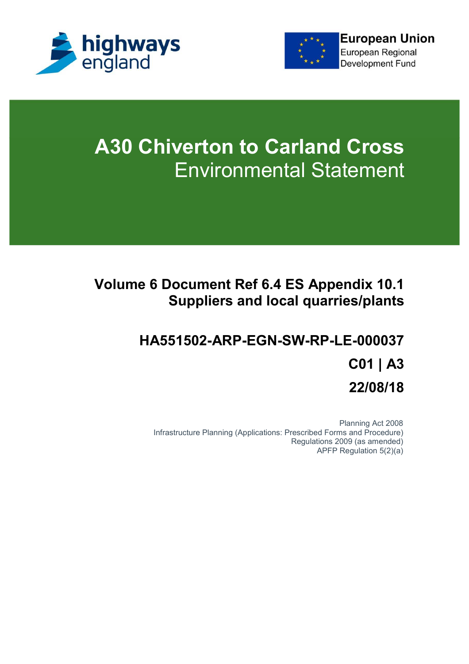



# **A30 Chiverton to Carland Cross** Environmental Statement

## **Volume 6 Document Ref 6.4 ES Appendix 10.1 Suppliers and local quarries/plants**

## **HA551502-ARP-EGN-SW-RP-LE-000037 C01 | A3 22/08/18**

Planning Act 2008 Infrastructure Planning (Applications: Prescribed Forms and Procedure) Regulations 2009 (as amended) APFP Regulation 5(2)(a)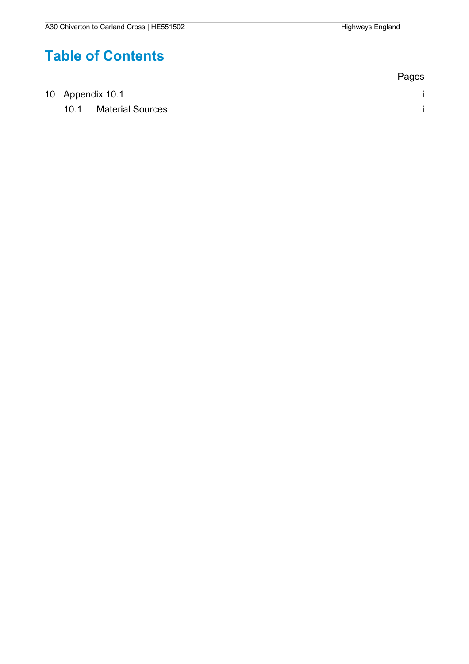## **Table of Contents**

|  |                  |                         | Pages |
|--|------------------|-------------------------|-------|
|  | 10 Appendix 10.1 |                         |       |
|  | 10.1             | <b>Material Sources</b> |       |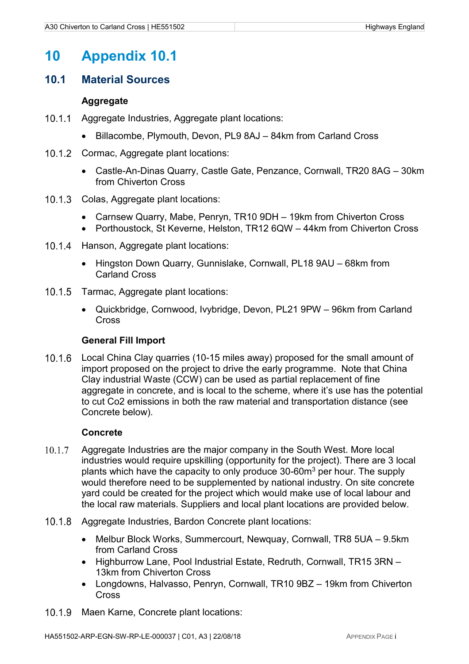## **10 Appendix 10.1**

#### **10.1 Material Sources**

#### **Aggregate**

- 10.1.1 Agaregate Industries, Agaregate plant locations:
	- Billacombe, Plymouth, Devon, PL9 8AJ 84km from Carland Cross
- 10.1.2 Cormac, Aggregate plant locations:
	- Castle-An-Dinas Quarry, Castle Gate, Penzance, Cornwall, TR20 8AG 30km from Chiverton Cross
- 10.1.3 Colas, Aggregate plant locations:
	- Carnsew Quarry, Mabe, Penryn, TR10 9DH 19km from Chiverton Cross
	- Porthoustock, St Keverne, Helston, TR12 6QW 44km from Chiverton Cross
- 10.1.4 Hanson, Aggregate plant locations:
	- Hingston Down Quarry, Gunnislake, Cornwall, PL18 9AU 68km from Carland Cross
- 10.1.5 Tarmac, Aggregate plant locations:
	- Quickbridge, Cornwood, Ivybridge, Devon, PL21 9PW 96km from Carland **Cross**

#### **General Fill Import**

 Local China Clay quarries (10-15 miles away) proposed for the small amount of import proposed on the project to drive the early programme. Note that China Clay industrial Waste (CCW) can be used as partial replacement of fine aggregate in concrete, and is local to the scheme, where it's use has the potential to cut Co2 emissions in both the raw material and transportation distance (see Concrete below).

#### **Concrete**

- 10.1.7 Aggregate Industries are the major company in the South West. More local industries would require upskilling (opportunity for the project). There are 3 local plants which have the capacity to only produce 30-60m<sup>3</sup> per hour. The supply would therefore need to be supplemented by national industry. On site concrete yard could be created for the project which would make use of local labour and the local raw materials. Suppliers and local plant locations are provided below.
- 10.1.8 Aggregate Industries, Bardon Concrete plant locations:
	- Melbur Block Works, Summercourt, Newquay, Cornwall, TR8 5UA 9.5km from Carland Cross
	- Highburrow Lane, Pool Industrial Estate, Redruth, Cornwall, TR15 3RN 13km from Chiverton Cross
	- Longdowns, Halvasso, Penryn, Cornwall, TR10 9BZ 19km from Chiverton Cross
- 10.1.9 Maen Karne, Concrete plant locations: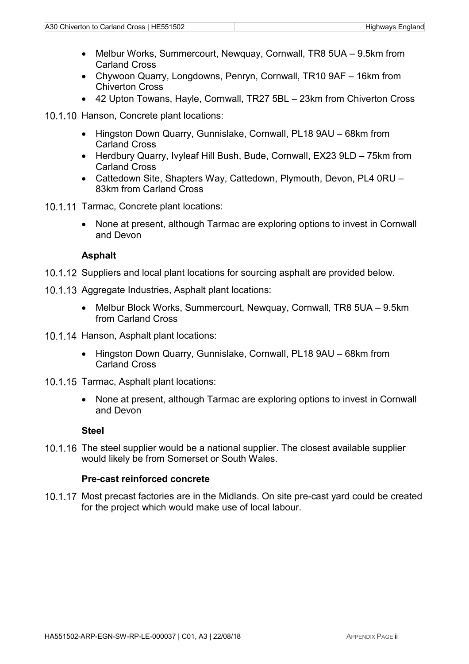- Melbur Works, Summercourt, Newquay, Cornwall, TR8 5UA 9.5km from Carland Cross
- Chywoon Quarry, Longdowns, Penryn, Cornwall, TR10 9AF 16km from Chiverton Cross
- 42 Upton Towans, Hayle, Cornwall, TR27 5BL 23km from Chiverton Cross

10.1.10 Hanson, Concrete plant locations:

- Hingston Down Quarry, Gunnislake, Cornwall, PL18 9AU 68km from Carland Cross
- Herdbury Quarry, Ivyleaf Hill Bush, Bude, Cornwall, EX23 9LD 75km from Carland Cross
- Cattedown Site, Shapters Way, Cattedown, Plymouth, Devon, PL4 0RU 83km from Carland Cross
- 10.1.11 Tarmac, Concrete plant locations:
	- None at present, although Tarmac are exploring options to invest in Cornwall and Devon

#### **Asphalt**

- 10.1.12 Suppliers and local plant locations for sourcing asphalt are provided below.
- 10.1.13 Aggregate Industries, Asphalt plant locations:
	- Melbur Block Works, Summercourt, Newquay, Cornwall, TR8 5UA 9.5km from Carland Cross
- 10.1.14 Hanson, Asphalt plant locations:
	- Hingston Down Quarry, Gunnislake, Cornwall, PL18 9AU 68km from Carland Cross
- 10.1.15 Tarmac, Asphalt plant locations:
	- None at present, although Tarmac are exploring options to invest in Cornwall and Devon

#### **Steel**

10.1.16 The steel supplier would be a national supplier. The closest available supplier would likely be from Somerset or South Wales.

#### **Pre-cast reinforced concrete**

10.1.17 Most precast factories are in the Midlands. On site pre-cast vard could be created for the project which would make use of local labour.